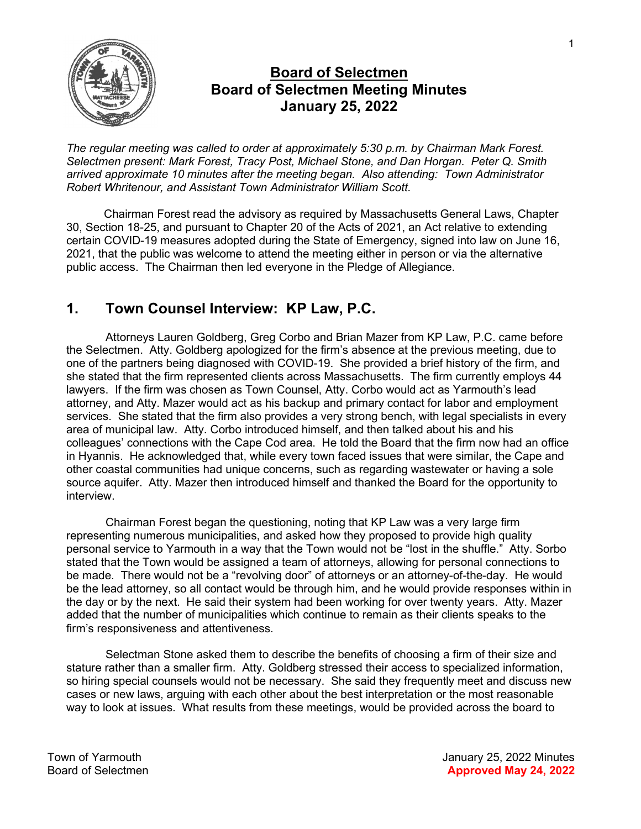

## Board of Selectmen Board of Selectmen Meeting Minutes January 25, 2022

The regular meeting was called to order at approximately 5:30 p.m. by Chairman Mark Forest. Selectmen present: Mark Forest, Tracy Post, Michael Stone, and Dan Horgan. Peter Q. Smith arrived approximate 10 minutes after the meeting began. Also attending: Town Administrator Robert Whritenour, and Assistant Town Administrator William Scott.

Chairman Forest read the advisory as required by Massachusetts General Laws, Chapter 30, Section 18-25, and pursuant to Chapter 20 of the Acts of 2021, an Act relative to extending certain COVID-19 measures adopted during the State of Emergency, signed into law on June 16, 2021, that the public was welcome to attend the meeting either in person or via the alternative public access. The Chairman then led everyone in the Pledge of Allegiance.

## 1. Town Counsel Interview: KP Law, P.C.

Attorneys Lauren Goldberg, Greg Corbo and Brian Mazer from KP Law, P.C. came before the Selectmen. Atty. Goldberg apologized for the firm's absence at the previous meeting, due to one of the partners being diagnosed with COVID-19. She provided a brief history of the firm, and she stated that the firm represented clients across Massachusetts. The firm currently employs 44 lawyers. If the firm was chosen as Town Counsel, Atty. Corbo would act as Yarmouth's lead attorney, and Atty. Mazer would act as his backup and primary contact for labor and employment services. She stated that the firm also provides a very strong bench, with legal specialists in every area of municipal law. Atty. Corbo introduced himself, and then talked about his and his colleagues' connections with the Cape Cod area. He told the Board that the firm now had an office in Hyannis. He acknowledged that, while every town faced issues that were similar, the Cape and other coastal communities had unique concerns, such as regarding wastewater or having a sole source aquifer. Atty. Mazer then introduced himself and thanked the Board for the opportunity to interview.

Chairman Forest began the questioning, noting that KP Law was a very large firm representing numerous municipalities, and asked how they proposed to provide high quality personal service to Yarmouth in a way that the Town would not be "lost in the shuffle." Atty. Sorbo stated that the Town would be assigned a team of attorneys, allowing for personal connections to be made. There would not be a "revolving door" of attorneys or an attorney-of-the-day. He would be the lead attorney, so all contact would be through him, and he would provide responses within in the day or by the next. He said their system had been working for over twenty years. Atty. Mazer added that the number of municipalities which continue to remain as their clients speaks to the firm's responsiveness and attentiveness.

Selectman Stone asked them to describe the benefits of choosing a firm of their size and stature rather than a smaller firm. Atty. Goldberg stressed their access to specialized information, so hiring special counsels would not be necessary. She said they frequently meet and discuss new cases or new laws, arguing with each other about the best interpretation or the most reasonable way to look at issues. What results from these meetings, would be provided across the board to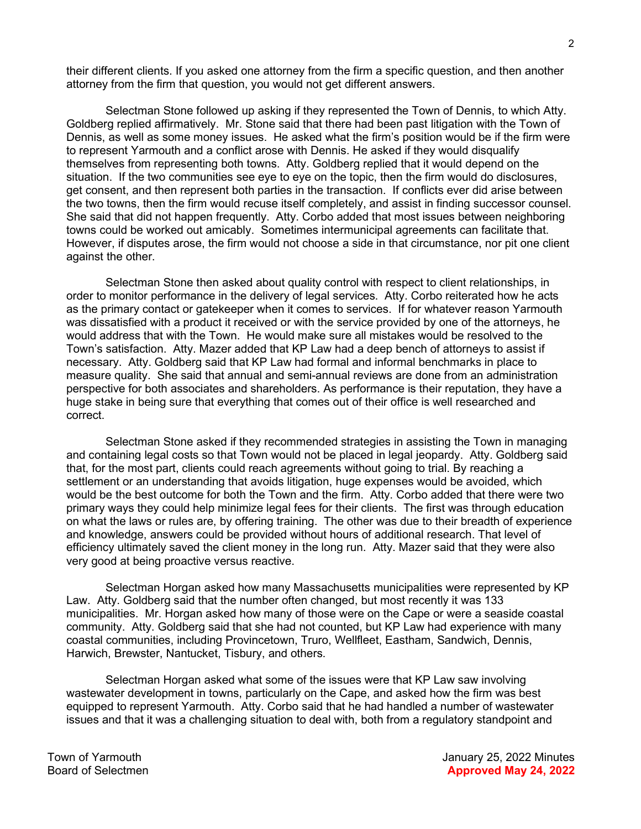their different clients. If you asked one attorney from the firm a specific question, and then another attorney from the firm that question, you would not get different answers.

Selectman Stone followed up asking if they represented the Town of Dennis, to which Atty. Goldberg replied affirmatively. Mr. Stone said that there had been past litigation with the Town of Dennis, as well as some money issues. He asked what the firm's position would be if the firm were to represent Yarmouth and a conflict arose with Dennis. He asked if they would disqualify themselves from representing both towns. Atty. Goldberg replied that it would depend on the situation. If the two communities see eye to eye on the topic, then the firm would do disclosures, get consent, and then represent both parties in the transaction. If conflicts ever did arise between the two towns, then the firm would recuse itself completely, and assist in finding successor counsel. She said that did not happen frequently. Atty. Corbo added that most issues between neighboring towns could be worked out amicably. Sometimes intermunicipal agreements can facilitate that. However, if disputes arose, the firm would not choose a side in that circumstance, nor pit one client against the other.

Selectman Stone then asked about quality control with respect to client relationships, in order to monitor performance in the delivery of legal services. Atty. Corbo reiterated how he acts as the primary contact or gatekeeper when it comes to services. If for whatever reason Yarmouth was dissatisfied with a product it received or with the service provided by one of the attorneys, he would address that with the Town. He would make sure all mistakes would be resolved to the Town's satisfaction. Atty. Mazer added that KP Law had a deep bench of attorneys to assist if necessary. Atty. Goldberg said that KP Law had formal and informal benchmarks in place to measure quality. She said that annual and semi-annual reviews are done from an administration perspective for both associates and shareholders. As performance is their reputation, they have a huge stake in being sure that everything that comes out of their office is well researched and correct.

Selectman Stone asked if they recommended strategies in assisting the Town in managing and containing legal costs so that Town would not be placed in legal jeopardy. Atty. Goldberg said that, for the most part, clients could reach agreements without going to trial. By reaching a settlement or an understanding that avoids litigation, huge expenses would be avoided, which would be the best outcome for both the Town and the firm. Atty. Corbo added that there were two primary ways they could help minimize legal fees for their clients. The first was through education on what the laws or rules are, by offering training. The other was due to their breadth of experience and knowledge, answers could be provided without hours of additional research. That level of efficiency ultimately saved the client money in the long run. Atty. Mazer said that they were also very good at being proactive versus reactive.

Selectman Horgan asked how many Massachusetts municipalities were represented by KP Law. Atty. Goldberg said that the number often changed, but most recently it was 133 municipalities. Mr. Horgan asked how many of those were on the Cape or were a seaside coastal community. Atty. Goldberg said that she had not counted, but KP Law had experience with many coastal communities, including Provincetown, Truro, Wellfleet, Eastham, Sandwich, Dennis, Harwich, Brewster, Nantucket, Tisbury, and others.

Selectman Horgan asked what some of the issues were that KP Law saw involving wastewater development in towns, particularly on the Cape, and asked how the firm was best equipped to represent Yarmouth. Atty. Corbo said that he had handled a number of wastewater issues and that it was a challenging situation to deal with, both from a regulatory standpoint and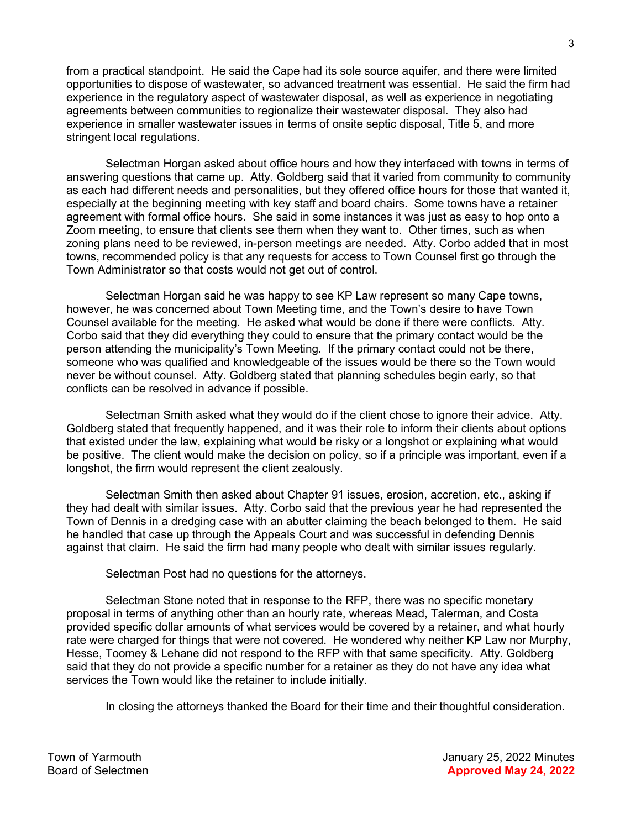from a practical standpoint. He said the Cape had its sole source aquifer, and there were limited opportunities to dispose of wastewater, so advanced treatment was essential. He said the firm had experience in the regulatory aspect of wastewater disposal, as well as experience in negotiating agreements between communities to regionalize their wastewater disposal. They also had experience in smaller wastewater issues in terms of onsite septic disposal, Title 5, and more stringent local regulations.

Selectman Horgan asked about office hours and how they interfaced with towns in terms of answering questions that came up. Atty. Goldberg said that it varied from community to community as each had different needs and personalities, but they offered office hours for those that wanted it, especially at the beginning meeting with key staff and board chairs. Some towns have a retainer agreement with formal office hours. She said in some instances it was just as easy to hop onto a Zoom meeting, to ensure that clients see them when they want to. Other times, such as when zoning plans need to be reviewed, in-person meetings are needed. Atty. Corbo added that in most towns, recommended policy is that any requests for access to Town Counsel first go through the Town Administrator so that costs would not get out of control.

Selectman Horgan said he was happy to see KP Law represent so many Cape towns, however, he was concerned about Town Meeting time, and the Town's desire to have Town Counsel available for the meeting. He asked what would be done if there were conflicts. Atty. Corbo said that they did everything they could to ensure that the primary contact would be the person attending the municipality's Town Meeting. If the primary contact could not be there, someone who was qualified and knowledgeable of the issues would be there so the Town would never be without counsel. Atty. Goldberg stated that planning schedules begin early, so that conflicts can be resolved in advance if possible.

Selectman Smith asked what they would do if the client chose to ignore their advice. Atty. Goldberg stated that frequently happened, and it was their role to inform their clients about options that existed under the law, explaining what would be risky or a longshot or explaining what would be positive. The client would make the decision on policy, so if a principle was important, even if a longshot, the firm would represent the client zealously.

Selectman Smith then asked about Chapter 91 issues, erosion, accretion, etc., asking if they had dealt with similar issues. Atty. Corbo said that the previous year he had represented the Town of Dennis in a dredging case with an abutter claiming the beach belonged to them. He said he handled that case up through the Appeals Court and was successful in defending Dennis against that claim. He said the firm had many people who dealt with similar issues regularly.

Selectman Post had no questions for the attorneys.

Selectman Stone noted that in response to the RFP, there was no specific monetary proposal in terms of anything other than an hourly rate, whereas Mead, Talerman, and Costa provided specific dollar amounts of what services would be covered by a retainer, and what hourly rate were charged for things that were not covered. He wondered why neither KP Law nor Murphy, Hesse, Toomey & Lehane did not respond to the RFP with that same specificity. Atty. Goldberg said that they do not provide a specific number for a retainer as they do not have any idea what services the Town would like the retainer to include initially.

In closing the attorneys thanked the Board for their time and their thoughtful consideration.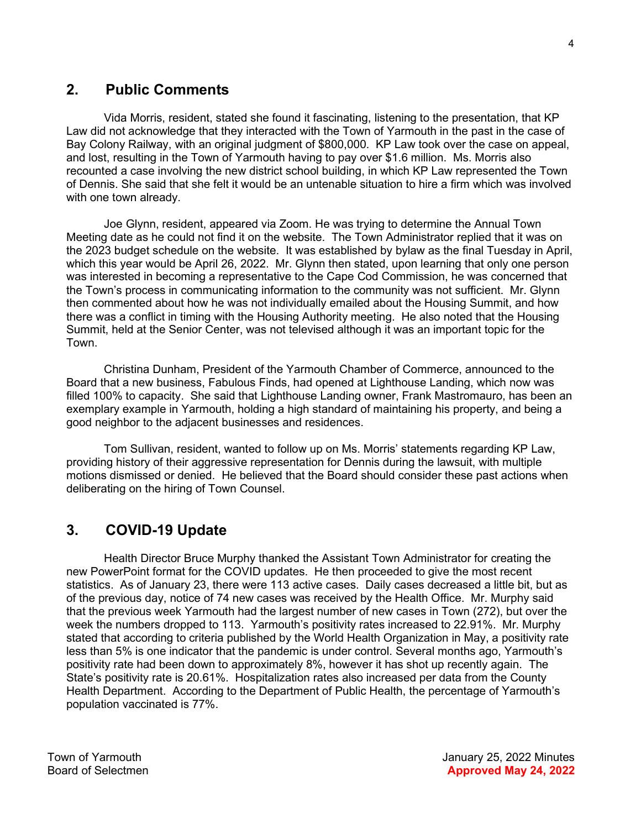### 2. Public Comments

Vida Morris, resident, stated she found it fascinating, listening to the presentation, that KP Law did not acknowledge that they interacted with the Town of Yarmouth in the past in the case of Bay Colony Railway, with an original judgment of \$800,000. KP Law took over the case on appeal, and lost, resulting in the Town of Yarmouth having to pay over \$1.6 million. Ms. Morris also recounted a case involving the new district school building, in which KP Law represented the Town of Dennis. She said that she felt it would be an untenable situation to hire a firm which was involved with one town already.

Joe Glynn, resident, appeared via Zoom. He was trying to determine the Annual Town Meeting date as he could not find it on the website. The Town Administrator replied that it was on the 2023 budget schedule on the website. It was established by bylaw as the final Tuesday in April, which this year would be April 26, 2022. Mr. Glynn then stated, upon learning that only one person was interested in becoming a representative to the Cape Cod Commission, he was concerned that the Town's process in communicating information to the community was not sufficient. Mr. Glynn then commented about how he was not individually emailed about the Housing Summit, and how there was a conflict in timing with the Housing Authority meeting. He also noted that the Housing Summit, held at the Senior Center, was not televised although it was an important topic for the Town.

Christina Dunham, President of the Yarmouth Chamber of Commerce, announced to the Board that a new business, Fabulous Finds, had opened at Lighthouse Landing, which now was filled 100% to capacity. She said that Lighthouse Landing owner, Frank Mastromauro, has been an exemplary example in Yarmouth, holding a high standard of maintaining his property, and being a good neighbor to the adjacent businesses and residences.

Tom Sullivan, resident, wanted to follow up on Ms. Morris' statements regarding KP Law, providing history of their aggressive representation for Dennis during the lawsuit, with multiple motions dismissed or denied. He believed that the Board should consider these past actions when deliberating on the hiring of Town Counsel.

## 3. COVID-19 Update

Health Director Bruce Murphy thanked the Assistant Town Administrator for creating the new PowerPoint format for the COVID updates. He then proceeded to give the most recent statistics. As of January 23, there were 113 active cases. Daily cases decreased a little bit, but as of the previous day, notice of 74 new cases was received by the Health Office. Mr. Murphy said that the previous week Yarmouth had the largest number of new cases in Town (272), but over the week the numbers dropped to 113. Yarmouth's positivity rates increased to 22.91%. Mr. Murphy stated that according to criteria published by the World Health Organization in May, a positivity rate less than 5% is one indicator that the pandemic is under control. Several months ago, Yarmouth's positivity rate had been down to approximately 8%, however it has shot up recently again. The State's positivity rate is 20.61%. Hospitalization rates also increased per data from the County Health Department. According to the Department of Public Health, the percentage of Yarmouth's population vaccinated is 77%.

Town of Yarmouth January 25, 2022 Minutes Board of Selectmen **Approved May 24, 2022**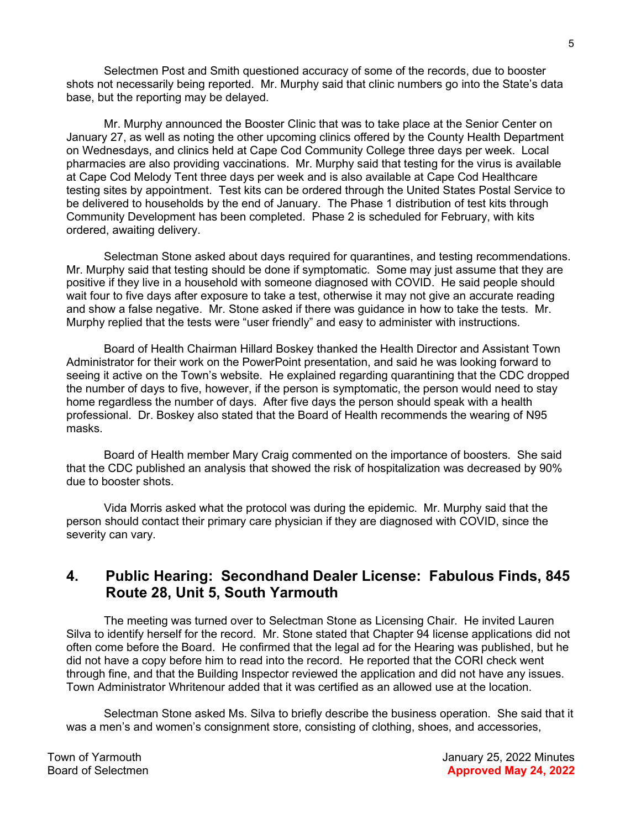Selectmen Post and Smith questioned accuracy of some of the records, due to booster shots not necessarily being reported. Mr. Murphy said that clinic numbers go into the State's data base, but the reporting may be delayed.

Mr. Murphy announced the Booster Clinic that was to take place at the Senior Center on January 27, as well as noting the other upcoming clinics offered by the County Health Department on Wednesdays, and clinics held at Cape Cod Community College three days per week. Local pharmacies are also providing vaccinations. Mr. Murphy said that testing for the virus is available at Cape Cod Melody Tent three days per week and is also available at Cape Cod Healthcare testing sites by appointment. Test kits can be ordered through the United States Postal Service to be delivered to households by the end of January. The Phase 1 distribution of test kits through Community Development has been completed. Phase 2 is scheduled for February, with kits ordered, awaiting delivery.

 Selectman Stone asked about days required for quarantines, and testing recommendations. Mr. Murphy said that testing should be done if symptomatic. Some may just assume that they are positive if they live in a household with someone diagnosed with COVID. He said people should wait four to five days after exposure to take a test, otherwise it may not give an accurate reading and show a false negative. Mr. Stone asked if there was guidance in how to take the tests. Mr. Murphy replied that the tests were "user friendly" and easy to administer with instructions.

 Board of Health Chairman Hillard Boskey thanked the Health Director and Assistant Town Administrator for their work on the PowerPoint presentation, and said he was looking forward to seeing it active on the Town's website. He explained regarding quarantining that the CDC dropped the number of days to five, however, if the person is symptomatic, the person would need to stay home regardless the number of days. After five days the person should speak with a health professional. Dr. Boskey also stated that the Board of Health recommends the wearing of N95 masks.

 Board of Health member Mary Craig commented on the importance of boosters. She said that the CDC published an analysis that showed the risk of hospitalization was decreased by 90% due to booster shots.

 Vida Morris asked what the protocol was during the epidemic. Mr. Murphy said that the person should contact their primary care physician if they are diagnosed with COVID, since the severity can vary.

### 4. Public Hearing: Secondhand Dealer License: Fabulous Finds, 845 Route 28, Unit 5, South Yarmouth

The meeting was turned over to Selectman Stone as Licensing Chair. He invited Lauren Silva to identify herself for the record. Mr. Stone stated that Chapter 94 license applications did not often come before the Board. He confirmed that the legal ad for the Hearing was published, but he did not have a copy before him to read into the record. He reported that the CORI check went through fine, and that the Building Inspector reviewed the application and did not have any issues. Town Administrator Whritenour added that it was certified as an allowed use at the location.

Selectman Stone asked Ms. Silva to briefly describe the business operation. She said that it was a men's and women's consignment store, consisting of clothing, shoes, and accessories,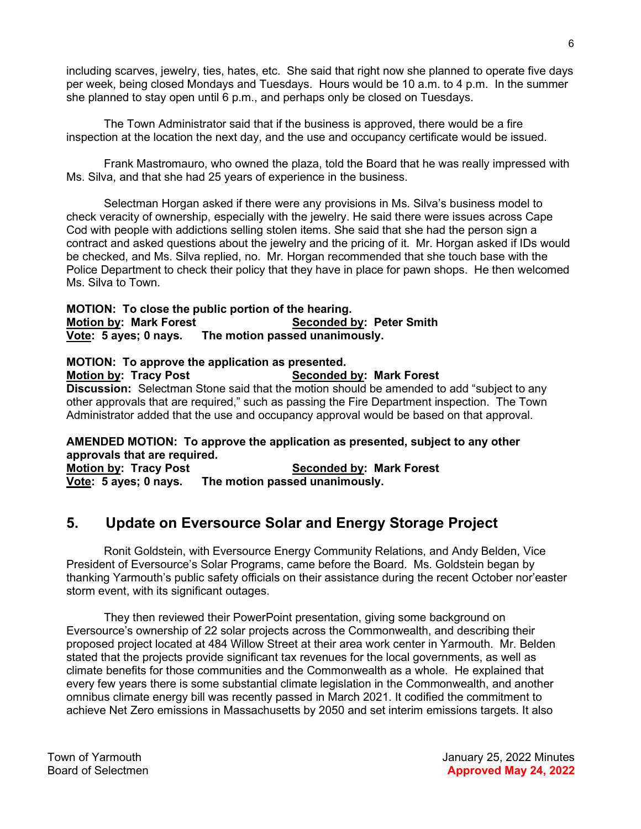including scarves, jewelry, ties, hates, etc. She said that right now she planned to operate five days per week, being closed Mondays and Tuesdays. Hours would be 10 a.m. to 4 p.m. In the summer she planned to stay open until 6 p.m., and perhaps only be closed on Tuesdays.

The Town Administrator said that if the business is approved, there would be a fire inspection at the location the next day, and the use and occupancy certificate would be issued.

Frank Mastromauro, who owned the plaza, told the Board that he was really impressed with Ms. Silva, and that she had 25 years of experience in the business.

Selectman Horgan asked if there were any provisions in Ms. Silva's business model to check veracity of ownership, especially with the jewelry. He said there were issues across Cape Cod with people with addictions selling stolen items. She said that she had the person sign a contract and asked questions about the jewelry and the pricing of it. Mr. Horgan asked if IDs would be checked, and Ms. Silva replied, no. Mr. Horgan recommended that she touch base with the Police Department to check their policy that they have in place for pawn shops. He then welcomed Ms. Silva to Town.

#### MOTION: To close the public portion of the hearing. Motion by: Mark Forest Seconded by: Peter Smith Vote: 5 ayes; 0 nays. The motion passed unanimously.

MOTION: To approve the application as presented. Motion by: Tracy Post Seconded by: Mark Forest **Discussion:** Selectman Stone said that the motion should be amended to add "subject to any other approvals that are required," such as passing the Fire Department inspection. The Town Administrator added that the use and occupancy approval would be based on that approval.

#### AMENDED MOTION: To approve the application as presented, subject to any other approvals that are required.

Motion by: Tracy Post Seconded by: Mark Forest Vote: 5 ayes; 0 nays. The motion passed unanimously.

# 5. Update on Eversource Solar and Energy Storage Project

Ronit Goldstein, with Eversource Energy Community Relations, and Andy Belden, Vice President of Eversource's Solar Programs, came before the Board. Ms. Goldstein began by thanking Yarmouth's public safety officials on their assistance during the recent October nor'easter storm event, with its significant outages.

They then reviewed their PowerPoint presentation, giving some background on Eversource's ownership of 22 solar projects across the Commonwealth, and describing their proposed project located at 484 Willow Street at their area work center in Yarmouth. Mr. Belden stated that the projects provide significant tax revenues for the local governments, as well as climate benefits for those communities and the Commonwealth as a whole. He explained that every few years there is some substantial climate legislation in the Commonwealth, and another omnibus climate energy bill was recently passed in March 2021. It codified the commitment to achieve Net Zero emissions in Massachusetts by 2050 and set interim emissions targets. It also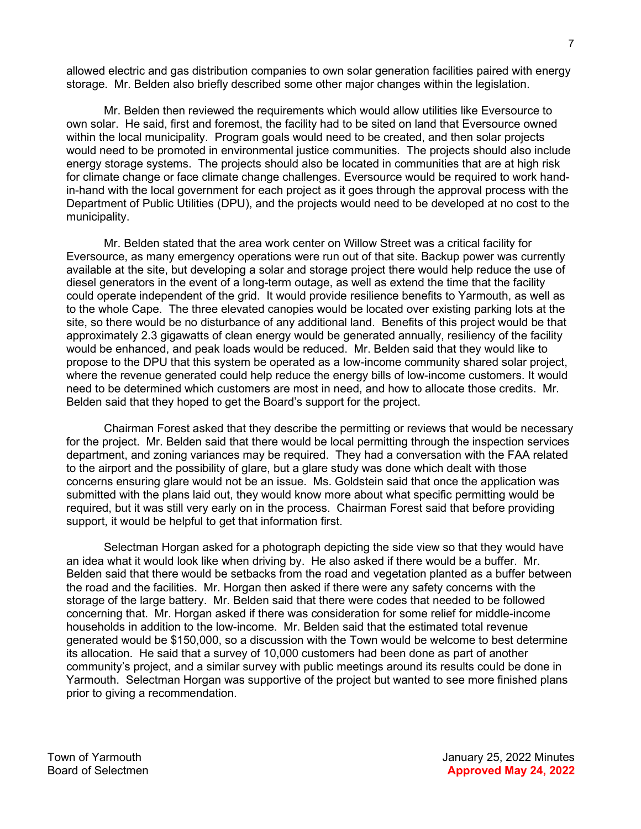allowed electric and gas distribution companies to own solar generation facilities paired with energy storage. Mr. Belden also briefly described some other major changes within the legislation.

Mr. Belden then reviewed the requirements which would allow utilities like Eversource to own solar. He said, first and foremost, the facility had to be sited on land that Eversource owned within the local municipality. Program goals would need to be created, and then solar projects would need to be promoted in environmental justice communities. The projects should also include energy storage systems. The projects should also be located in communities that are at high risk for climate change or face climate change challenges. Eversource would be required to work handin-hand with the local government for each project as it goes through the approval process with the Department of Public Utilities (DPU), and the projects would need to be developed at no cost to the municipality.

Mr. Belden stated that the area work center on Willow Street was a critical facility for Eversource, as many emergency operations were run out of that site. Backup power was currently available at the site, but developing a solar and storage project there would help reduce the use of diesel generators in the event of a long-term outage, as well as extend the time that the facility could operate independent of the grid. It would provide resilience benefits to Yarmouth, as well as to the whole Cape. The three elevated canopies would be located over existing parking lots at the site, so there would be no disturbance of any additional land. Benefits of this project would be that approximately 2.3 gigawatts of clean energy would be generated annually, resiliency of the facility would be enhanced, and peak loads would be reduced. Mr. Belden said that they would like to propose to the DPU that this system be operated as a low-income community shared solar project, where the revenue generated could help reduce the energy bills of low-income customers. It would need to be determined which customers are most in need, and how to allocate those credits. Mr. Belden said that they hoped to get the Board's support for the project.

Chairman Forest asked that they describe the permitting or reviews that would be necessary for the project. Mr. Belden said that there would be local permitting through the inspection services department, and zoning variances may be required. They had a conversation with the FAA related to the airport and the possibility of glare, but a glare study was done which dealt with those concerns ensuring glare would not be an issue. Ms. Goldstein said that once the application was submitted with the plans laid out, they would know more about what specific permitting would be required, but it was still very early on in the process. Chairman Forest said that before providing support, it would be helpful to get that information first.

Selectman Horgan asked for a photograph depicting the side view so that they would have an idea what it would look like when driving by. He also asked if there would be a buffer. Mr. Belden said that there would be setbacks from the road and vegetation planted as a buffer between the road and the facilities. Mr. Horgan then asked if there were any safety concerns with the storage of the large battery. Mr. Belden said that there were codes that needed to be followed concerning that. Mr. Horgan asked if there was consideration for some relief for middle-income households in addition to the low-income. Mr. Belden said that the estimated total revenue generated would be \$150,000, so a discussion with the Town would be welcome to best determine its allocation. He said that a survey of 10,000 customers had been done as part of another community's project, and a similar survey with public meetings around its results could be done in Yarmouth. Selectman Horgan was supportive of the project but wanted to see more finished plans prior to giving a recommendation.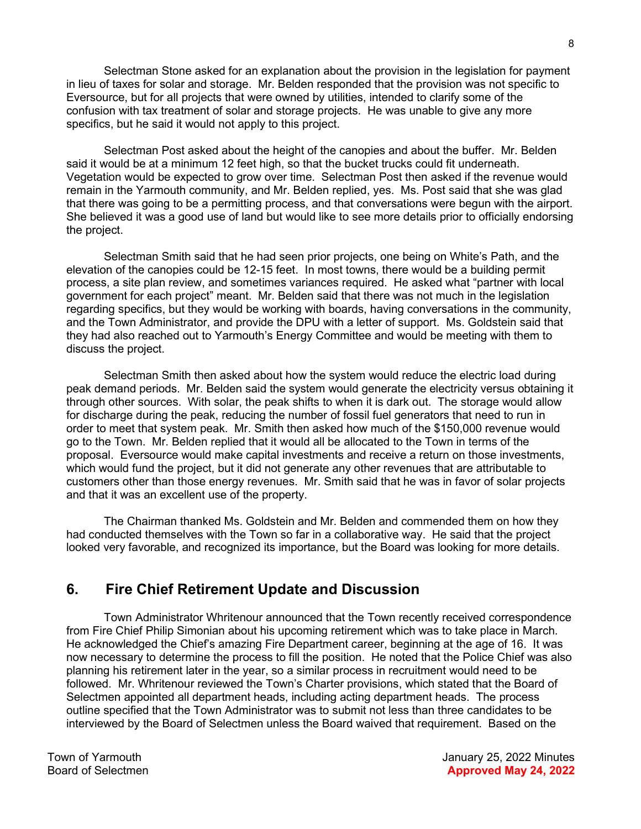Selectman Stone asked for an explanation about the provision in the legislation for payment in lieu of taxes for solar and storage. Mr. Belden responded that the provision was not specific to Eversource, but for all projects that were owned by utilities, intended to clarify some of the confusion with tax treatment of solar and storage projects. He was unable to give any more specifics, but he said it would not apply to this project.

Selectman Post asked about the height of the canopies and about the buffer. Mr. Belden said it would be at a minimum 12 feet high, so that the bucket trucks could fit underneath. Vegetation would be expected to grow over time. Selectman Post then asked if the revenue would remain in the Yarmouth community, and Mr. Belden replied, yes. Ms. Post said that she was glad that there was going to be a permitting process, and that conversations were begun with the airport. She believed it was a good use of land but would like to see more details prior to officially endorsing the project.

Selectman Smith said that he had seen prior projects, one being on White's Path, and the elevation of the canopies could be 12-15 feet. In most towns, there would be a building permit process, a site plan review, and sometimes variances required. He asked what "partner with local government for each project" meant. Mr. Belden said that there was not much in the legislation regarding specifics, but they would be working with boards, having conversations in the community, and the Town Administrator, and provide the DPU with a letter of support. Ms. Goldstein said that they had also reached out to Yarmouth's Energy Committee and would be meeting with them to discuss the project.

Selectman Smith then asked about how the system would reduce the electric load during peak demand periods. Mr. Belden said the system would generate the electricity versus obtaining it through other sources. With solar, the peak shifts to when it is dark out. The storage would allow for discharge during the peak, reducing the number of fossil fuel generators that need to run in order to meet that system peak. Mr. Smith then asked how much of the \$150,000 revenue would go to the Town. Mr. Belden replied that it would all be allocated to the Town in terms of the proposal. Eversource would make capital investments and receive a return on those investments, which would fund the project, but it did not generate any other revenues that are attributable to customers other than those energy revenues. Mr. Smith said that he was in favor of solar projects and that it was an excellent use of the property.

The Chairman thanked Ms. Goldstein and Mr. Belden and commended them on how they had conducted themselves with the Town so far in a collaborative way. He said that the project looked very favorable, and recognized its importance, but the Board was looking for more details.

## 6. Fire Chief Retirement Update and Discussion

Town Administrator Whritenour announced that the Town recently received correspondence from Fire Chief Philip Simonian about his upcoming retirement which was to take place in March. He acknowledged the Chief's amazing Fire Department career, beginning at the age of 16. It was now necessary to determine the process to fill the position. He noted that the Police Chief was also planning his retirement later in the year, so a similar process in recruitment would need to be followed. Mr. Whritenour reviewed the Town's Charter provisions, which stated that the Board of Selectmen appointed all department heads, including acting department heads. The process outline specified that the Town Administrator was to submit not less than three candidates to be interviewed by the Board of Selectmen unless the Board waived that requirement. Based on the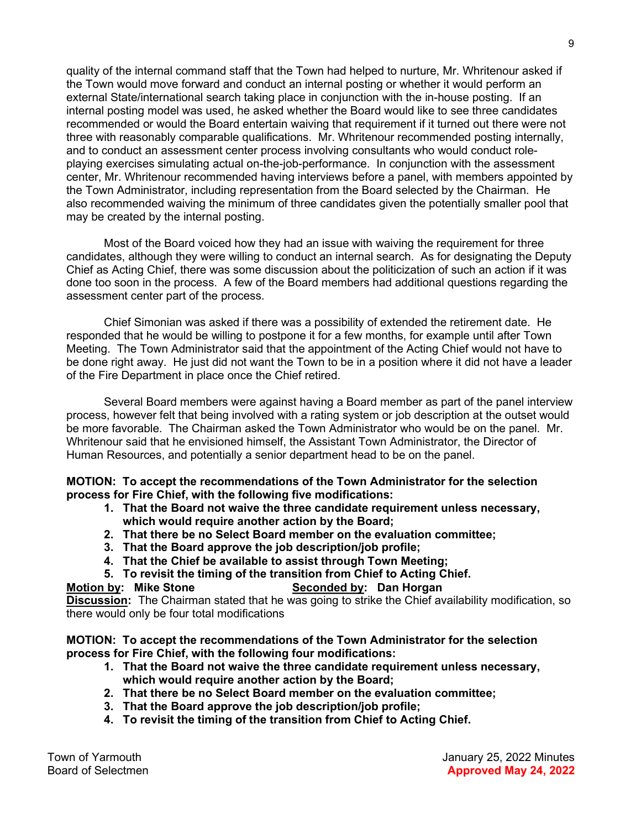quality of the internal command staff that the Town had helped to nurture, Mr. Whritenour asked if the Town would move forward and conduct an internal posting or whether it would perform an external State/international search taking place in conjunction with the in-house posting. If an internal posting model was used, he asked whether the Board would like to see three candidates recommended or would the Board entertain waiving that requirement if it turned out there were not three with reasonably comparable qualifications. Mr. Whritenour recommended posting internally, and to conduct an assessment center process involving consultants who would conduct roleplaying exercises simulating actual on-the-job-performance. In conjunction with the assessment center, Mr. Whritenour recommended having interviews before a panel, with members appointed by the Town Administrator, including representation from the Board selected by the Chairman. He also recommended waiving the minimum of three candidates given the potentially smaller pool that may be created by the internal posting.

Most of the Board voiced how they had an issue with waiving the requirement for three candidates, although they were willing to conduct an internal search. As for designating the Deputy Chief as Acting Chief, there was some discussion about the politicization of such an action if it was done too soon in the process. A few of the Board members had additional questions regarding the assessment center part of the process.

Chief Simonian was asked if there was a possibility of extended the retirement date. He responded that he would be willing to postpone it for a few months, for example until after Town Meeting. The Town Administrator said that the appointment of the Acting Chief would not have to be done right away. He just did not want the Town to be in a position where it did not have a leader of the Fire Department in place once the Chief retired.

Several Board members were against having a Board member as part of the panel interview process, however felt that being involved with a rating system or job description at the outset would be more favorable. The Chairman asked the Town Administrator who would be on the panel. Mr. Whritenour said that he envisioned himself, the Assistant Town Administrator, the Director of Human Resources, and potentially a senior department head to be on the panel.

#### MOTION: To accept the recommendations of the Town Administrator for the selection process for Fire Chief, with the following five modifications:

- 1. That the Board not waive the three candidate requirement unless necessary, which would require another action by the Board;
- 2. That there be no Select Board member on the evaluation committee;
- 3. That the Board approve the job description/job profile;
- 4. That the Chief be available to assist through Town Meeting;
- 5. To revisit the timing of the transition from Chief to Acting Chief.

### Motion by: Mike Stone Seconded by: Dan Horgan

Discussion: The Chairman stated that he was going to strike the Chief availability modification, so there would only be four total modifications

### MOTION: To accept the recommendations of the Town Administrator for the selection process for Fire Chief, with the following four modifications:

- 1. That the Board not waive the three candidate requirement unless necessary, which would require another action by the Board;
- 2. That there be no Select Board member on the evaluation committee;
- 3. That the Board approve the job description/job profile;
- 4. To revisit the timing of the transition from Chief to Acting Chief.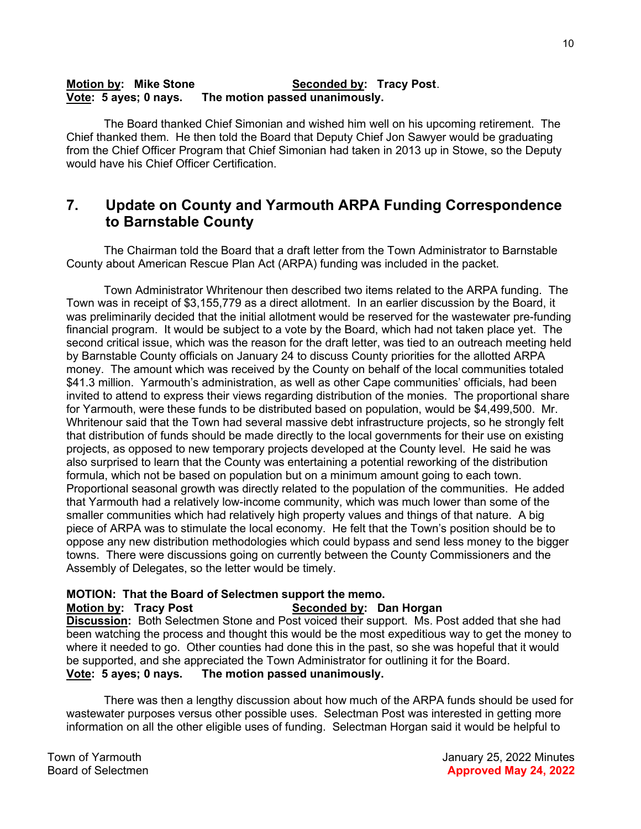#### Motion by: Mike Stone Seconded by: Tracy Post. Vote: 5 ayes; 0 nays. The motion passed unanimously.

The Board thanked Chief Simonian and wished him well on his upcoming retirement. The Chief thanked them. He then told the Board that Deputy Chief Jon Sawyer would be graduating from the Chief Officer Program that Chief Simonian had taken in 2013 up in Stowe, so the Deputy would have his Chief Officer Certification.

## 7. Update on County and Yarmouth ARPA Funding Correspondence to Barnstable County

The Chairman told the Board that a draft letter from the Town Administrator to Barnstable County about American Rescue Plan Act (ARPA) funding was included in the packet.

Town Administrator Whritenour then described two items related to the ARPA funding. The Town was in receipt of \$3,155,779 as a direct allotment. In an earlier discussion by the Board, it was preliminarily decided that the initial allotment would be reserved for the wastewater pre-funding financial program. It would be subject to a vote by the Board, which had not taken place yet. The second critical issue, which was the reason for the draft letter, was tied to an outreach meeting held by Barnstable County officials on January 24 to discuss County priorities for the allotted ARPA money. The amount which was received by the County on behalf of the local communities totaled \$41.3 million. Yarmouth's administration, as well as other Cape communities' officials, had been invited to attend to express their views regarding distribution of the monies. The proportional share for Yarmouth, were these funds to be distributed based on population, would be \$4,499,500. Mr. Whritenour said that the Town had several massive debt infrastructure projects, so he strongly felt that distribution of funds should be made directly to the local governments for their use on existing projects, as opposed to new temporary projects developed at the County level. He said he was also surprised to learn that the County was entertaining a potential reworking of the distribution formula, which not be based on population but on a minimum amount going to each town. Proportional seasonal growth was directly related to the population of the communities. He added that Yarmouth had a relatively low-income community, which was much lower than some of the smaller communities which had relatively high property values and things of that nature. A big piece of ARPA was to stimulate the local economy. He felt that the Town's position should be to oppose any new distribution methodologies which could bypass and send less money to the bigger towns. There were discussions going on currently between the County Commissioners and the Assembly of Delegates, so the letter would be timely.

### MOTION: That the Board of Selectmen support the memo.

Motion by: Tracy Post Seconded by: Dan Horgan Discussion: Both Selectmen Stone and Post voiced their support. Ms. Post added that she had been watching the process and thought this would be the most expeditious way to get the money to where it needed to go. Other counties had done this in the past, so she was hopeful that it would be supported, and she appreciated the Town Administrator for outlining it for the Board. Vote: 5 ayes; 0 nays. The motion passed unanimously.

There was then a lengthy discussion about how much of the ARPA funds should be used for wastewater purposes versus other possible uses. Selectman Post was interested in getting more information on all the other eligible uses of funding. Selectman Horgan said it would be helpful to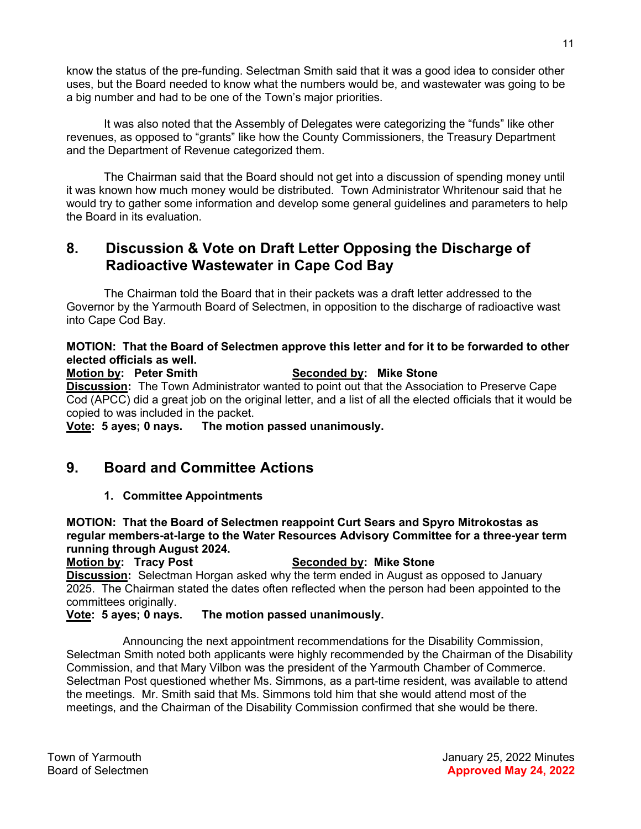know the status of the pre-funding. Selectman Smith said that it was a good idea to consider other uses, but the Board needed to know what the numbers would be, and wastewater was going to be a big number and had to be one of the Town's major priorities.

It was also noted that the Assembly of Delegates were categorizing the "funds" like other revenues, as opposed to "grants" like how the County Commissioners, the Treasury Department and the Department of Revenue categorized them.

The Chairman said that the Board should not get into a discussion of spending money until it was known how much money would be distributed. Town Administrator Whritenour said that he would try to gather some information and develop some general guidelines and parameters to help the Board in its evaluation.

## 8. Discussion & Vote on Draft Letter Opposing the Discharge of Radioactive Wastewater in Cape Cod Bay

The Chairman told the Board that in their packets was a draft letter addressed to the Governor by the Yarmouth Board of Selectmen, in opposition to the discharge of radioactive wast into Cape Cod Bay.

### MOTION: That the Board of Selectmen approve this letter and for it to be forwarded to other elected officials as well.

Motion by: Peter Smith Seconded by: Mike Stone **Discussion:** The Town Administrator wanted to point out that the Association to Preserve Cape Cod (APCC) did a great job on the original letter, and a list of all the elected officials that it would be copied to was included in the packet.

Vote: 5 ayes; 0 nays. The motion passed unanimously.

## 9. Board and Committee Actions

### 1. Committee Appointments

MOTION: That the Board of Selectmen reappoint Curt Sears and Spyro Mitrokostas as regular members-at-large to the Water Resources Advisory Committee for a three-year term running through August 2024.

Motion by: Tracy Post Seconded by: Mike Stone **Discussion:** Selectman Horgan asked why the term ended in August as opposed to January 2025. The Chairman stated the dates often reflected when the person had been appointed to the committees originally.

### Vote: 5 ayes; 0 nays. The motion passed unanimously.

Announcing the next appointment recommendations for the Disability Commission, Selectman Smith noted both applicants were highly recommended by the Chairman of the Disability Commission, and that Mary Vilbon was the president of the Yarmouth Chamber of Commerce. Selectman Post questioned whether Ms. Simmons, as a part-time resident, was available to attend the meetings. Mr. Smith said that Ms. Simmons told him that she would attend most of the meetings, and the Chairman of the Disability Commission confirmed that she would be there.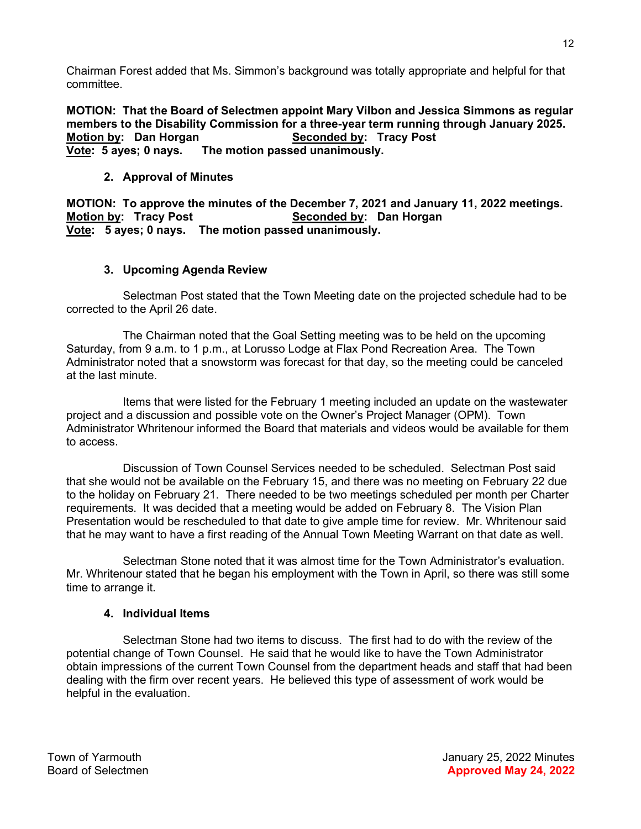Chairman Forest added that Ms. Simmon's background was totally appropriate and helpful for that committee.

MOTION: That the Board of Selectmen appoint Mary Vilbon and Jessica Simmons as regular members to the Disability Commission for a three-year term running through January 2025. Motion by: Dan Horgan Seconded by: Tracy Post Vote: 5 ayes; 0 nays. The motion passed unanimously.

### 2. Approval of Minutes

MOTION: To approve the minutes of the December 7, 2021 and January 11, 2022 meetings. Motion by: Tracy Post Seconded by: Dan Horgan Vote: 5 ayes; 0 nays. The motion passed unanimously.

### 3. Upcoming Agenda Review

Selectman Post stated that the Town Meeting date on the projected schedule had to be corrected to the April 26 date.

The Chairman noted that the Goal Setting meeting was to be held on the upcoming Saturday, from 9 a.m. to 1 p.m., at Lorusso Lodge at Flax Pond Recreation Area. The Town Administrator noted that a snowstorm was forecast for that day, so the meeting could be canceled at the last minute.

Items that were listed for the February 1 meeting included an update on the wastewater project and a discussion and possible vote on the Owner's Project Manager (OPM). Town Administrator Whritenour informed the Board that materials and videos would be available for them to access.

Discussion of Town Counsel Services needed to be scheduled. Selectman Post said that she would not be available on the February 15, and there was no meeting on February 22 due to the holiday on February 21. There needed to be two meetings scheduled per month per Charter requirements. It was decided that a meeting would be added on February 8. The Vision Plan Presentation would be rescheduled to that date to give ample time for review. Mr. Whritenour said that he may want to have a first reading of the Annual Town Meeting Warrant on that date as well.

Selectman Stone noted that it was almost time for the Town Administrator's evaluation. Mr. Whritenour stated that he began his employment with the Town in April, so there was still some time to arrange it.

### 4. Individual Items

Selectman Stone had two items to discuss. The first had to do with the review of the potential change of Town Counsel. He said that he would like to have the Town Administrator obtain impressions of the current Town Counsel from the department heads and staff that had been dealing with the firm over recent years. He believed this type of assessment of work would be helpful in the evaluation.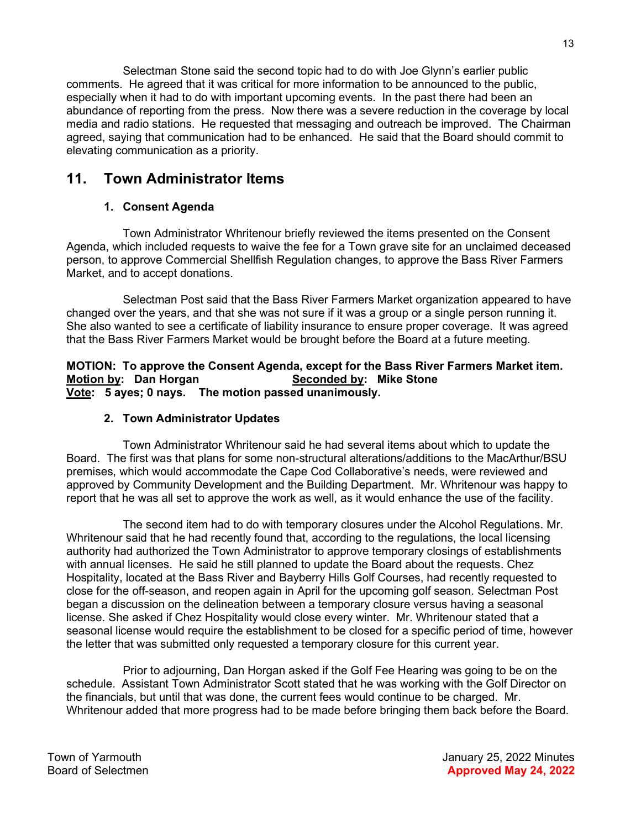Selectman Stone said the second topic had to do with Joe Glynn's earlier public comments. He agreed that it was critical for more information to be announced to the public, especially when it had to do with important upcoming events. In the past there had been an abundance of reporting from the press. Now there was a severe reduction in the coverage by local media and radio stations. He requested that messaging and outreach be improved. The Chairman agreed, saying that communication had to be enhanced. He said that the Board should commit to elevating communication as a priority.

## 11. Town Administrator Items

### 1. Consent Agenda

Town Administrator Whritenour briefly reviewed the items presented on the Consent Agenda, which included requests to waive the fee for a Town grave site for an unclaimed deceased person, to approve Commercial Shellfish Regulation changes, to approve the Bass River Farmers Market, and to accept donations.

Selectman Post said that the Bass River Farmers Market organization appeared to have changed over the years, and that she was not sure if it was a group or a single person running it. She also wanted to see a certificate of liability insurance to ensure proper coverage. It was agreed that the Bass River Farmers Market would be brought before the Board at a future meeting.

MOTION: To approve the Consent Agenda, except for the Bass River Farmers Market item. Motion by: Dan Horgan Seconded by: Mike Stone Vote: 5 ayes; 0 nays. The motion passed unanimously.

### 2. Town Administrator Updates

Town Administrator Whritenour said he had several items about which to update the Board. The first was that plans for some non-structural alterations/additions to the MacArthur/BSU premises, which would accommodate the Cape Cod Collaborative's needs, were reviewed and approved by Community Development and the Building Department. Mr. Whritenour was happy to report that he was all set to approve the work as well, as it would enhance the use of the facility.

The second item had to do with temporary closures under the Alcohol Regulations. Mr. Whritenour said that he had recently found that, according to the regulations, the local licensing authority had authorized the Town Administrator to approve temporary closings of establishments with annual licenses. He said he still planned to update the Board about the requests. Chez Hospitality, located at the Bass River and Bayberry Hills Golf Courses, had recently requested to close for the off-season, and reopen again in April for the upcoming golf season. Selectman Post began a discussion on the delineation between a temporary closure versus having a seasonal license. She asked if Chez Hospitality would close every winter. Mr. Whritenour stated that a seasonal license would require the establishment to be closed for a specific period of time, however the letter that was submitted only requested a temporary closure for this current year.

Prior to adjourning, Dan Horgan asked if the Golf Fee Hearing was going to be on the schedule. Assistant Town Administrator Scott stated that he was working with the Golf Director on the financials, but until that was done, the current fees would continue to be charged. Mr. Whritenour added that more progress had to be made before bringing them back before the Board.